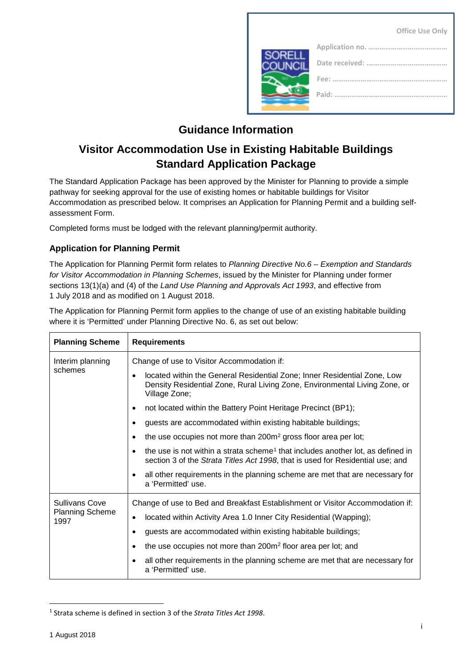|                | <b>Office Use Only</b>                                  |
|----------------|---------------------------------------------------------|
| <b>SORELL</b>  |                                                         |
| <b>COUNCIL</b> |                                                         |
|                | Fee:<br>the contract of the contract of the contract of |
|                |                                                         |
|                |                                                         |

# **Guidance Information**

# **Visitor Accommodation Use in Existing Habitable Buildings Standard Application Package**

The Standard Application Package has been approved by the Minister for Planning to provide a simple pathway for seeking approval for the use of existing homes or habitable buildings for Visitor Accommodation as prescribed below. It comprises an Application for Planning Permit and a building selfassessment Form.

Completed forms must be lodged with the relevant planning/permit authority.

## **Application for Planning Permit**

The Application for Planning Permit form relates to *Planning Directive No.6 – Exemption and Standards for Visitor Accommodation in Planning Schemes*, issued by the Minister for Planning under former sections 13(1)(a) and (4) of the *Land Use Planning and Approvals Act 1993*, and effective from 1 July 2018 and as modified on 1 August 2018.

The Application for Planning Permit form applies to the change of use of an existing habitable building where it is 'Permitted' under Planning Directive No. 6, as set out below:

| <b>Planning Scheme</b>                                  | <b>Requirements</b>                                                                                                                                                           |  |  |  |
|---------------------------------------------------------|-------------------------------------------------------------------------------------------------------------------------------------------------------------------------------|--|--|--|
| Interim planning<br>schemes                             | Change of use to Visitor Accommodation if:                                                                                                                                    |  |  |  |
|                                                         | located within the General Residential Zone; Inner Residential Zone, Low<br>Density Residential Zone, Rural Living Zone, Environmental Living Zone, or<br>Village Zone;       |  |  |  |
|                                                         | not located within the Battery Point Heritage Precinct (BP1);                                                                                                                 |  |  |  |
|                                                         | guests are accommodated within existing habitable buildings;                                                                                                                  |  |  |  |
|                                                         | the use occupies not more than 200m <sup>2</sup> gross floor area per lot;                                                                                                    |  |  |  |
|                                                         | the use is not within a strata scheme <sup>1</sup> that includes another lot, as defined in<br>section 3 of the Strata Titles Act 1998, that is used for Residential use; and |  |  |  |
|                                                         | all other requirements in the planning scheme are met that are necessary for<br>a 'Permitted' use.                                                                            |  |  |  |
| <b>Sullivans Cove</b><br><b>Planning Scheme</b><br>1997 | Change of use to Bed and Breakfast Establishment or Visitor Accommodation if:                                                                                                 |  |  |  |
|                                                         | located within Activity Area 1.0 Inner City Residential (Wapping);<br>٠                                                                                                       |  |  |  |
|                                                         | guests are accommodated within existing habitable buildings;                                                                                                                  |  |  |  |
|                                                         | the use occupies not more than 200m <sup>2</sup> floor area per lot; and                                                                                                      |  |  |  |
|                                                         | all other requirements in the planning scheme are met that are necessary for<br>a 'Permitted' use.                                                                            |  |  |  |

<span id="page-0-0"></span> <sup>1</sup> Strata scheme is defined in section 3 of the *Strata Titles Act 1998*.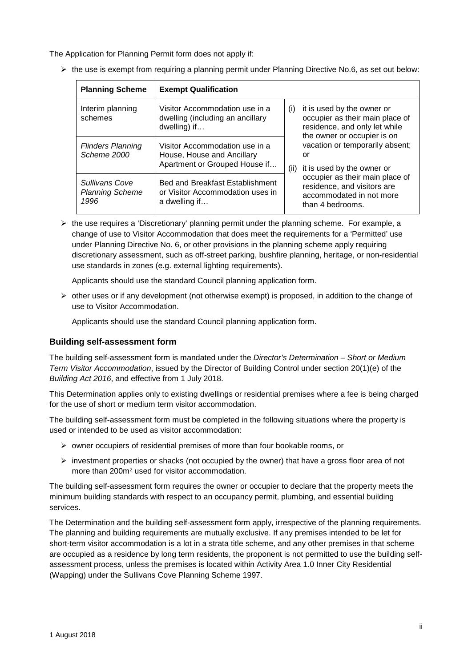The Application for Planning Permit form does not apply if:

| <b>Planning Scheme</b>                                  | <b>Exempt Qualification</b>                                                                   |     |                                                                                                                               |
|---------------------------------------------------------|-----------------------------------------------------------------------------------------------|-----|-------------------------------------------------------------------------------------------------------------------------------|
| Interim planning<br>schemes                             | Visitor Accommodation use in a<br>dwelling (including an ancillary<br>dwelling) if            | (i) | it is used by the owner or<br>occupier as their main place of<br>residence, and only let while<br>the owner or occupier is on |
| <b>Flinders Planning</b><br>Scheme 2000                 | Visitor Accommodation use in a<br>House, House and Ancillary<br>Apartment or Grouped House if |     | vacation or temporarily absent;<br>or<br>(ii) it is used by the owner or                                                      |
| <b>Sullivans Cove</b><br><b>Planning Scheme</b><br>1996 | <b>Bed and Breakfast Establishment</b><br>or Visitor Accommodation uses in<br>a dwelling if   |     | occupier as their main place of<br>residence, and visitors are<br>accommodated in not more<br>than 4 bedrooms.                |

 $\triangleright$  the use is exempt from requiring a planning permit under Planning Directive No.6, as set out below:

 $\triangleright$  the use requires a 'Discretionary' planning permit under the planning scheme. For example, a change of use to Visitor Accommodation that does meet the requirements for a 'Permitted' use under Planning Directive No. 6, or other provisions in the planning scheme apply requiring discretionary assessment, such as off-street parking, bushfire planning, heritage, or non-residential use standards in zones (e.g. external lighting requirements).

Applicants should use the standard Council planning application form.

 $\triangleright$  other uses or if any development (not otherwise exempt) is proposed, in addition to the change of use to Visitor Accommodation.

Applicants should use the standard Council planning application form.

#### **Building self-assessment form**

The building self-assessment form is mandated under the *Director's Determination – Short or Medium Term Visitor Accommodation*, issued by the Director of Building Control under section 20(1)(e) of the *Building Act 2016*, and effective from 1 July 2018.

This Determination applies only to existing dwellings or residential premises where a fee is being charged for the use of short or medium term visitor accommodation.

The building self-assessment form must be completed in the following situations where the property is used or intended to be used as visitor accommodation:

- $\triangleright$  owner occupiers of residential premises of more than four bookable rooms, or
- $\triangleright$  investment properties or shacks (not occupied by the owner) that have a gross floor area of not more than 200m2 used for visitor accommodation.

The building self-assessment form requires the owner or occupier to declare that the property meets the minimum building standards with respect to an occupancy permit, plumbing, and essential building services.

The Determination and the building self-assessment form apply, irrespective of the planning requirements. The planning and building requirements are mutually exclusive. If any premises intended to be let for short-term visitor accommodation is a lot in a strata title scheme, and any other premises in that scheme are occupied as a residence by long term residents, the proponent is not permitted to use the building selfassessment process, unless the premises is located within Activity Area 1.0 Inner City Residential (Wapping) under the Sullivans Cove Planning Scheme 1997.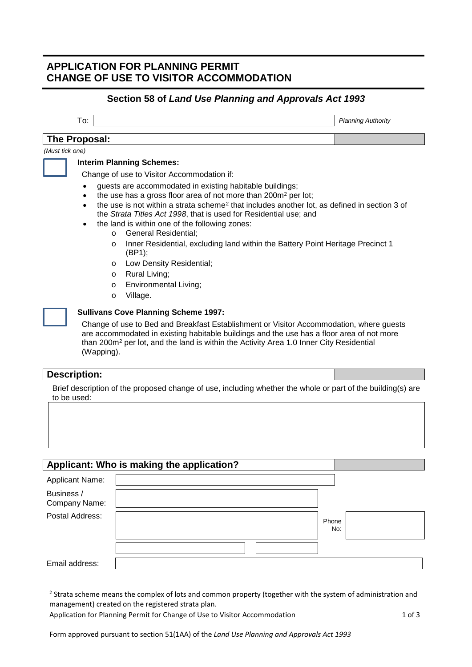## **APPLICATION FOR PLANNING PERMIT CHANGE OF USE TO VISITOR ACCOMMODATION**

## **Section 58 of** *Land Use Planning and Approvals Act 1993*

| То:             | <b>Planning Authority</b> |
|-----------------|---------------------------|
| The Proposal:   |                           |
| (Must tick one) |                           |

#### **Interim Planning Schemes:**

Change of use to Visitor Accommodation if:

- guests are accommodated in existing habitable buildings;
- the use has a gross floor area of not more than 200m<sup>2</sup> per lot;
- the use is not within a strata scheme<sup>[2](#page-2-0)</sup> that includes another lot, as defined in section 3 of the *Strata Titles Act 1998*, that is used for Residential use; and
- the land is within one of the following zones:
	- o General Residential;
	- o Inner Residential, excluding land within the Battery Point Heritage Precinct 1 (BP1);
	- o Low Density Residential;
	- o Rural Living;
	- o Environmental Living;
	- o Village.



### **Sullivans Cove Planning Scheme 1997:**

Change of use to Bed and Breakfast Establishment or Visitor Accommodation, where guests are accommodated in existing habitable buildings and the use has a floor area of not more than 200m<sup>2</sup> per lot, and the land is within the Activity Area 1.0 Inner City Residential (Wapping).

#### **Description:**

Brief description of the proposed change of use, including whether the whole or part of the building(s) are to be used:

|                             | Applicant: Who is making the application? |              |
|-----------------------------|-------------------------------------------|--------------|
| <b>Applicant Name:</b>      |                                           |              |
| Business /<br>Company Name: |                                           |              |
| Postal Address:             |                                           | Phone<br>No: |
|                             |                                           |              |
| Email address:              |                                           |              |

Form approved pursuant to section 51(1AA) of the *Land Use Planning and Approvals Act 1993*

<span id="page-2-0"></span><sup>&</sup>lt;sup>2</sup> Strata scheme means the complex of lots and common property (together with the system of administration and management) created on the registered strata plan.

Application for Planning Permit for Change of Use to Visitor Accommodation 1 06 1 of 3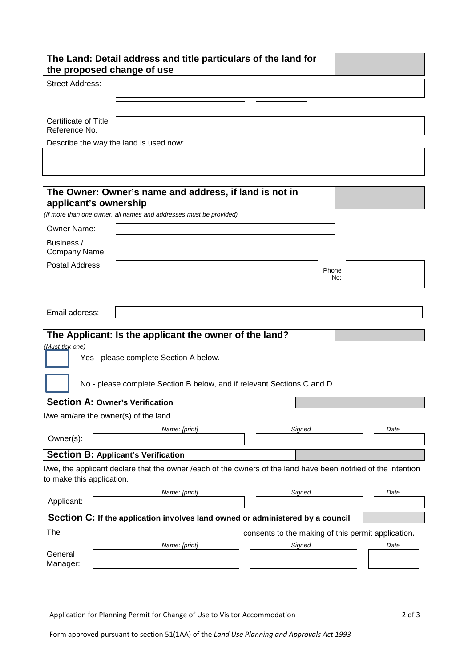| the proposed change of use             | The Land: Detail address and title particulars of the land for                                                 |                                                    |      |
|----------------------------------------|----------------------------------------------------------------------------------------------------------------|----------------------------------------------------|------|
| <b>Street Address:</b>                 |                                                                                                                |                                                    |      |
|                                        |                                                                                                                |                                                    |      |
| Certificate of Title<br>Reference No.  |                                                                                                                |                                                    |      |
|                                        | Describe the way the land is used now:                                                                         |                                                    |      |
|                                        |                                                                                                                |                                                    |      |
| applicant's ownership                  | The Owner: Owner's name and address, if land is not in                                                         |                                                    |      |
|                                        | (If more than one owner, all names and addresses must be provided)                                             |                                                    |      |
| Owner Name:                            |                                                                                                                |                                                    |      |
| Business /<br>Company Name:            |                                                                                                                |                                                    |      |
| Postal Address:                        |                                                                                                                | Phone                                              |      |
|                                        |                                                                                                                |                                                    | No:  |
|                                        |                                                                                                                |                                                    |      |
| Email address:                         |                                                                                                                |                                                    |      |
|                                        | The Applicant: Is the applicant the owner of the land?                                                         |                                                    |      |
| (Must tick one)                        |                                                                                                                |                                                    |      |
|                                        | Yes - please complete Section A below.                                                                         |                                                    |      |
|                                        | No - please complete Section B below, and if relevant Sections C and D.                                        |                                                    |      |
| <b>Section A: Owner's Verification</b> |                                                                                                                |                                                    |      |
| I/we am/are the owner(s) of the land.  |                                                                                                                |                                                    |      |
| Owner(s):                              | Name: [print]                                                                                                  | Signed                                             | Date |
|                                        |                                                                                                                |                                                    |      |
|                                        | <b>Section B: Applicant's Verification</b>                                                                     |                                                    |      |
| to make this application.              | I/we, the applicant declare that the owner /each of the owners of the land have been notified of the intention |                                                    |      |
| Applicant:                             | Name: [print]                                                                                                  | Signed                                             | Date |
|                                        | Section C: If the application involves land owned or administered by a council                                 |                                                    |      |
| The                                    |                                                                                                                | consents to the making of this permit application. |      |
|                                        | Name: [print]                                                                                                  | Signed                                             | Date |
| General<br>Manager:                    |                                                                                                                |                                                    |      |

Application for Planning Permit for Change of Use to Visitor Accommodation 2 of 3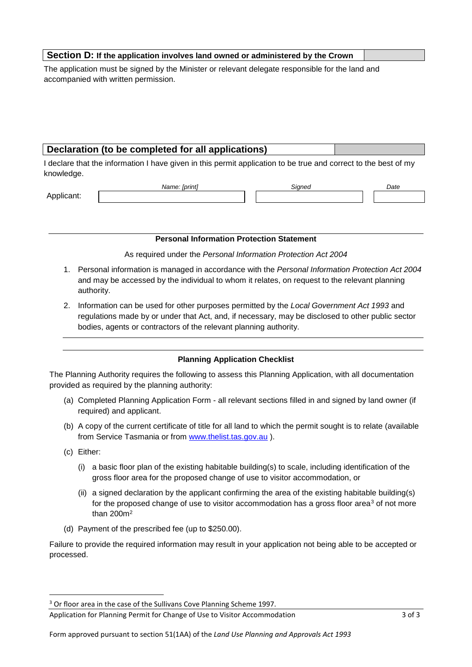#### **Section D: If the application involves land owned or administered by the Crown**

The application must be signed by the Minister or relevant delegate responsible for the land and accompanied with written permission.

## **Declaration (to be completed for all applications)**

I declare that the information I have given in this permit application to be true and correct to the best of my knowledge.

Applicant:

#### **Personal Information Protection Statement**

*Name: [print] Signed Date*

As required under the *Personal Information Protection Act 2004*

- 1. Personal information is managed in accordance with the *Personal Information Protection Act 2004* and may be accessed by the individual to whom it relates, on request to the relevant planning authority.
- 2. Information can be used for other purposes permitted by the *Local Government Act 1993* and regulations made by or under that Act, and, if necessary, may be disclosed to other public sector bodies, agents or contractors of the relevant planning authority.

#### **Planning Application Checklist**

The Planning Authority requires the following to assess this Planning Application, with all documentation provided as required by the planning authority:

- (a) Completed Planning Application Form all relevant sections filled in and signed by land owner (if required) and applicant.
- (b) A copy of the current certificate of title for all land to which the permit sought is to relate (available from Service Tasmania or from [www.thelist.tas.gov.au](http://www.thelist.tas.gov.au/) ).
- (c) Either:
	- $(i)$  a basic floor plan of the existing habitable building(s) to scale, including identification of the gross floor area for the proposed change of use to visitor accommodation, or
	- (ii) a signed declaration by the applicant confirming the area of the existing habitable building(s) for the proposed change of use to visitor accommodation has a gross floor area $3$  of not more than 200m2
- (d) Payment of the prescribed fee (up to \$250.00).

Failure to provide the required information may result in your application not being able to be accepted or processed.

<span id="page-4-0"></span><sup>&</sup>lt;sup>3</sup> Or floor area in the case of the Sullivans Cove Planning Scheme 1997.

Application for Planning Permit for Change of Use to Visitor Accommodation 3 of 3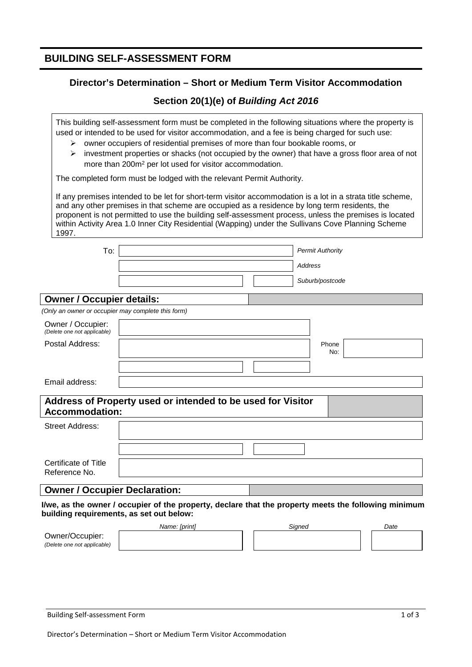## **BUILDING SELF-ASSESSMENT FORM**

## **Director's Determination – Short or Medium Term Visitor Accommodation**

## **Section 20(1)(e) of** *Building Act 2016*

This building self-assessment form must be completed in the following situations where the property is used or intended to be used for visitor accommodation, and a fee is being charged for such use:

- $\triangleright$  owner occupiers of residential premises of more than four bookable rooms, or
- $\triangleright$  investment properties or shacks (not occupied by the owner) that have a gross floor area of not more than 200m2 per lot used for visitor accommodation.

The completed form must be lodged with the relevant Permit Authority.

If any premises intended to be let for short-term visitor accommodation is a lot in a strata title scheme, and any other premises in that scheme are occupied as a residence by long term residents, the proponent is not permitted to use the building self-assessment process, unless the premises is located within Activity Area 1.0 Inner City Residential (Wapping) under the Sullivans Cove Planning Scheme 1997.

| To:                                                |                                                                                                      |                | <b>Permit Authority</b> |      |
|----------------------------------------------------|------------------------------------------------------------------------------------------------------|----------------|-------------------------|------|
|                                                    |                                                                                                      | <b>Address</b> |                         |      |
|                                                    |                                                                                                      |                | Suburb/postcode         |      |
| <b>Owner / Occupier details:</b>                   |                                                                                                      |                |                         |      |
| (Only an owner or occupier may complete this form) |                                                                                                      |                |                         |      |
| Owner / Occupier:<br>(Delete one not applicable)   |                                                                                                      |                |                         |      |
| Postal Address:                                    |                                                                                                      |                | Phone<br>No:            |      |
|                                                    |                                                                                                      |                |                         |      |
| Email address:                                     |                                                                                                      |                |                         |      |
| <b>Accommodation:</b>                              | Address of Property used or intended to be used for Visitor                                          |                |                         |      |
| <b>Street Address:</b>                             |                                                                                                      |                |                         |      |
|                                                    |                                                                                                      |                |                         |      |
| Certificate of Title<br>Reference No.              |                                                                                                      |                |                         |      |
| <b>Owner / Occupier Declaration:</b>               |                                                                                                      |                |                         |      |
| building requirements, as set out below:           | I/we, as the owner / occupier of the property, declare that the property meets the following minimum |                |                         |      |
|                                                    | Name: [print]                                                                                        | Signed         |                         | Date |
| Owner/Occupier:                                    |                                                                                                      |                |                         |      |

*(Delete one not applicable)*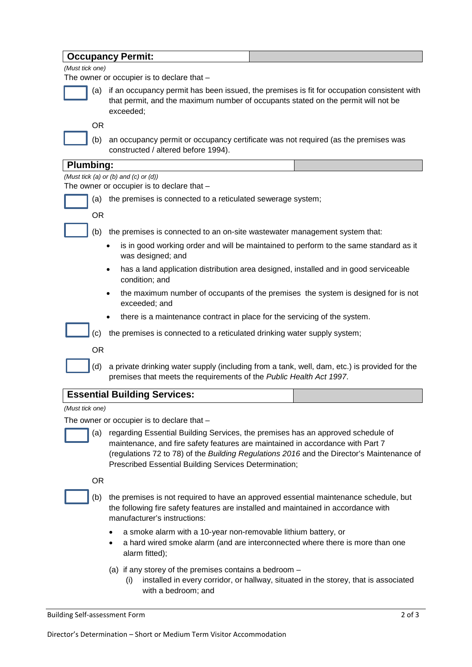|                  | <b>Occupancy Permit:</b>                                                                                                                                                                                                                                                                                                |
|------------------|-------------------------------------------------------------------------------------------------------------------------------------------------------------------------------------------------------------------------------------------------------------------------------------------------------------------------|
| (Must tick one)  |                                                                                                                                                                                                                                                                                                                         |
|                  | The owner or occupier is to declare that -                                                                                                                                                                                                                                                                              |
| (a)              | if an occupancy permit has been issued, the premises is fit for occupation consistent with<br>that permit, and the maximum number of occupants stated on the permit will not be<br>exceeded;                                                                                                                            |
| <b>OR</b>        |                                                                                                                                                                                                                                                                                                                         |
| (b)              | an occupancy permit or occupancy certificate was not required (as the premises was<br>constructed / altered before 1994).                                                                                                                                                                                               |
| <b>Plumbing:</b> |                                                                                                                                                                                                                                                                                                                         |
|                  | (Must tick (a) or (b) and (c) or (d))<br>The owner or occupier is to declare that -                                                                                                                                                                                                                                     |
| (a)              | the premises is connected to a reticulated sewerage system;                                                                                                                                                                                                                                                             |
| <b>OR</b>        |                                                                                                                                                                                                                                                                                                                         |
| (b)              | the premises is connected to an on-site wastewater management system that:                                                                                                                                                                                                                                              |
|                  | is in good working order and will be maintained to perform to the same standard as it<br>was designed; and                                                                                                                                                                                                              |
|                  | has a land application distribution area designed, installed and in good serviceable<br>٠<br>condition; and                                                                                                                                                                                                             |
|                  | the maximum number of occupants of the premises the system is designed for is not<br>exceeded; and                                                                                                                                                                                                                      |
|                  | there is a maintenance contract in place for the servicing of the system.                                                                                                                                                                                                                                               |
| (c)              | the premises is connected to a reticulated drinking water supply system;                                                                                                                                                                                                                                                |
| <b>OR</b>        |                                                                                                                                                                                                                                                                                                                         |
| (d)              | a private drinking water supply (including from a tank, well, dam, etc.) is provided for the<br>premises that meets the requirements of the Public Health Act 1997.                                                                                                                                                     |
|                  | <b>Essential Building Services:</b>                                                                                                                                                                                                                                                                                     |
| (Must tick one)  |                                                                                                                                                                                                                                                                                                                         |
|                  | The owner or occupier is to declare that -                                                                                                                                                                                                                                                                              |
| (a)              | regarding Essential Building Services, the premises has an approved schedule of<br>maintenance, and fire safety features are maintained in accordance with Part 7<br>(regulations 72 to 78) of the Building Regulations 2016 and the Director's Maintenance of<br>Prescribed Essential Building Services Determination; |
| <b>OR</b>        |                                                                                                                                                                                                                                                                                                                         |
| (b)              | the premises is not required to have an approved essential maintenance schedule, but<br>the following fire safety features are installed and maintained in accordance with<br>manufacturer's instructions:                                                                                                              |
|                  | a smoke alarm with a 10-year non-removable lithium battery, or<br>a hard wired smoke alarm (and are interconnected where there is more than one<br>٠<br>alarm fitted);                                                                                                                                                  |
|                  | (a) if any storey of the premises contains a bedroom $-$<br>installed in every corridor, or hallway, situated in the storey, that is associated<br>(i)<br>with a bedroom; and                                                                                                                                           |

Building Self-assessment Form 2 of 3